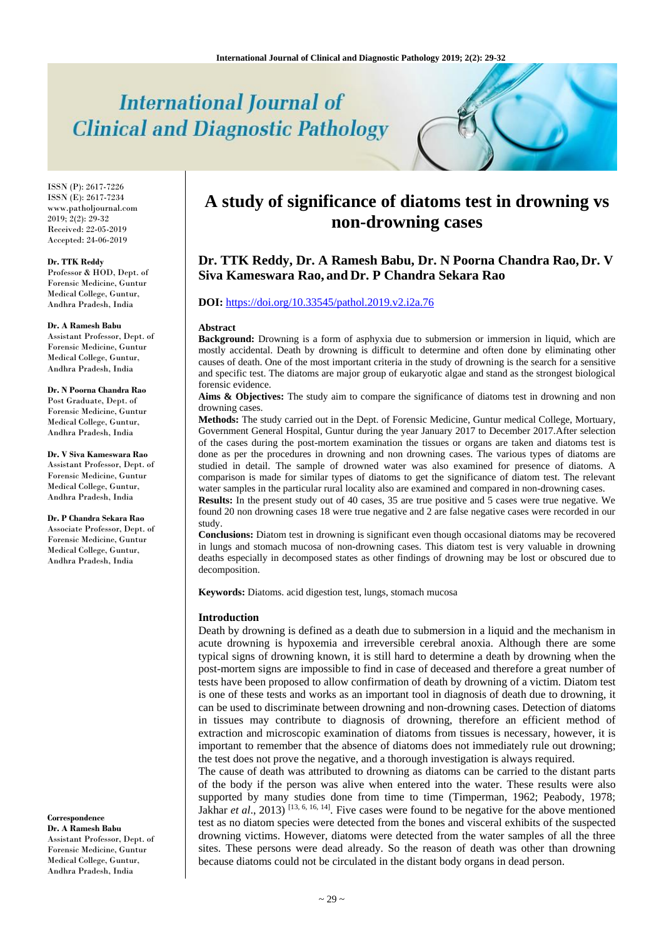# **International Journal of Clinical and Diagnostic Pathology**

ISSN (P): 2617-7226 ISSN (E): 2617-7234 www.patholjournal.com 2019; 2(2): 29-32 Received: 22-05-2019 Accepted: 24-06-2019

#### **Dr. TTK Reddy**

Professor & HOD, Dept. of Forensic Medicine, Guntur Medical College, Guntur, Andhra Pradesh, India

#### **Dr. A Ramesh Babu**

Assistant Professor, Dept. of Forensic Medicine, Guntur Medical College, Guntur, Andhra Pradesh, India

#### **Dr. N Poorna Chandra Rao** Post Graduate, Dept. of Forensic Medicine, Guntur Medical College, Guntur, Andhra Pradesh, India

**Dr. V Siva Kameswara Rao** Assistant Professor, Dept. of Forensic Medicine, Guntur Medical College, Guntur, Andhra Pradesh, India

## **Dr. P Chandra Sekara Rao**

Associate Professor, Dept. of Forensic Medicine, Guntur Medical College, Guntur, Andhra Pradesh, India

## **Correspondence**

**Dr. A Ramesh Babu** Assistant Professor, Dept. of Forensic Medicine, Guntur Medical College, Guntur, Andhra Pradesh, India

## **A study of significance of diatoms test in drowning vs non-drowning cases**

## **Dr. TTK Reddy, Dr. A Ramesh Babu, Dr. N Poorna Chandra Rao, Dr. V Siva Kameswara Rao, and Dr. P Chandra Sekara Rao**

## **DOI:** <https://doi.org/10.33545/pathol.2019.v2.i2a.76>

#### **Abstract**

**Background:** Drowning is a form of asphyxia due to submersion or immersion in liquid, which are mostly accidental. Death by drowning is difficult to determine and often done by eliminating other causes of death. One of the most important criteria in the study of drowning is the search for a sensitive and specific test. The diatoms are major group of eukaryotic algae and stand as the strongest biological forensic evidence.

Aims & Objectives: The study aim to compare the significance of diatoms test in drowning and non drowning cases.

**Methods:** The study carried out in the Dept. of Forensic Medicine, Guntur medical College, Mortuary, Government General Hospital, Guntur during the year January 2017 to December 2017.After selection of the cases during the post-mortem examination the tissues or organs are taken and diatoms test is done as per the procedures in drowning and non drowning cases. The various types of diatoms are studied in detail. The sample of drowned water was also examined for presence of diatoms. A comparison is made for similar types of diatoms to get the significance of diatom test. The relevant water samples in the particular rural locality also are examined and compared in non-drowning cases.

**Results:** In the present study out of 40 cases, 35 are true positive and 5 cases were true negative. We found 20 non drowning cases 18 were true negative and 2 are false negative cases were recorded in our study.

**Conclusions:** Diatom test in drowning is significant even though occasional diatoms may be recovered in lungs and stomach mucosa of non-drowning cases. This diatom test is very valuable in drowning deaths especially in decomposed states as other findings of drowning may be lost or obscured due to decomposition.

**Keywords:** Diatoms. acid digestion test, lungs, stomach mucosa

#### **Introduction**

Death by drowning is defined as a death due to submersion in a liquid and the mechanism in acute drowning is hypoxemia and irreversible cerebral anoxia. Although there are some typical signs of drowning known, it is still hard to determine a death by drowning when the post-mortem signs are impossible to find in case of deceased and therefore a great number of tests have been proposed to allow confirmation of death by drowning of a victim. Diatom test is one of these tests and works as an important tool in diagnosis of death due to drowning, it can be used to discriminate between drowning and non-drowning cases. Detection of diatoms in tissues may contribute to diagnosis of drowning, therefore an efficient method of extraction and microscopic examination of diatoms from tissues is necessary, however, it is important to remember that the absence of diatoms does not immediately rule out drowning; the test does not prove the negative, and a thorough investigation is always required.

The cause of death was attributed to drowning as diatoms can be carried to the distant parts of the body if the person was alive when entered into the water. These results were also supported by many studies done from time to time (Timperman, 1962; Peabody, 1978; Jakhar *et al.*, 2013)<sup>[13, 6, 16, 14]. Five cases were found to be negative for the above mentioned</sup> test as no diatom species were detected from the bones and visceral exhibits of the suspected drowning victims. However, diatoms were detected from the water samples of all the three sites. These persons were dead already. So the reason of death was other than drowning because diatoms could not be circulated in the distant body organs in dead person.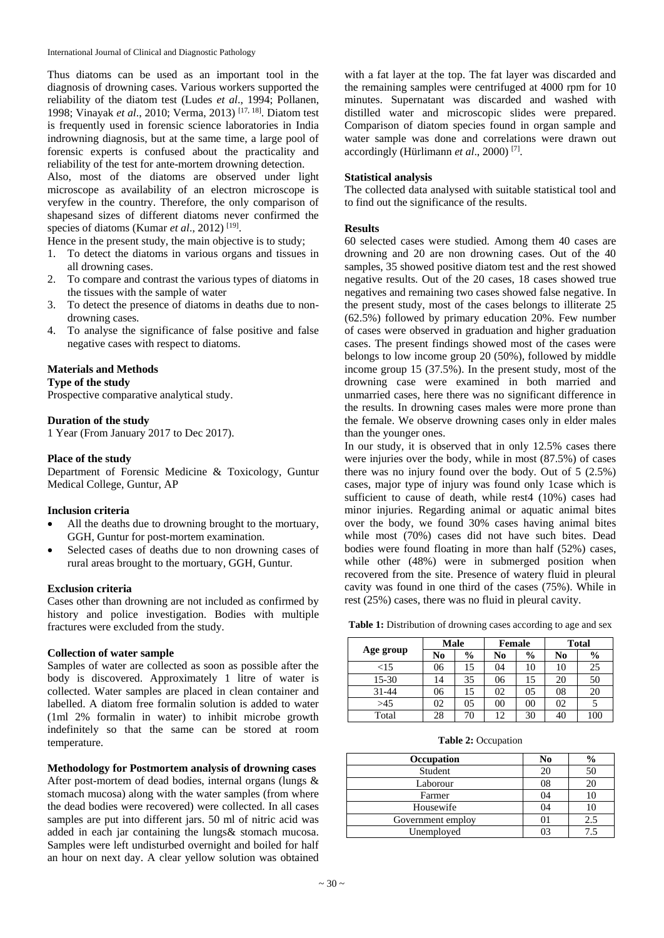Thus diatoms can be used as an important tool in the diagnosis of drowning cases. Various workers supported the reliability of the diatom test (Ludes *et al*., 1994; Pollanen, 1998; Vinayak *et al*., 2010; Verma, 2013) [17, 18] . Diatom test is frequently used in forensic science laboratories in India indrowning diagnosis, but at the same time, a large pool of forensic experts is confused about the practicality and reliability of the test for ante-mortem drowning detection.

Also, most of the diatoms are observed under light microscope as availability of an electron microscope is veryfew in the country. Therefore, the only comparison of shapesand sizes of different diatoms never confirmed the species of diatoms (Kumar et al., 2012)<sup>[19]</sup>.

Hence in the present study, the main objective is to study;

- 1. To detect the diatoms in various organs and tissues in all drowning cases.
- 2. To compare and contrast the various types of diatoms in the tissues with the sample of water
- 3. To detect the presence of diatoms in deaths due to nondrowning cases.
- 4. To analyse the significance of false positive and false negative cases with respect to diatoms.

## **Materials and Methods**

**Type of the study**

Prospective comparative analytical study.

## **Duration of the study**

1 Year (From January 2017 to Dec 2017).

#### **Place of the study**

Department of Forensic Medicine & Toxicology, Guntur Medical College, Guntur, AP

## **Inclusion criteria**

- All the deaths due to drowning brought to the mortuary, GGH, Guntur for post-mortem examination.
- Selected cases of deaths due to non drowning cases of rural areas brought to the mortuary, GGH, Guntur.

## **Exclusion criteria**

Cases other than drowning are not included as confirmed by history and police investigation. Bodies with multiple fractures were excluded from the study.

## **Collection of water sample**

Samples of water are collected as soon as possible after the body is discovered. Approximately 1 litre of water is collected. Water samples are placed in clean container and labelled. A diatom free formalin solution is added to water (1ml 2% formalin in water) to inhibit microbe growth indefinitely so that the same can be stored at room temperature.

## **Methodology for Postmortem analysis of drowning cases**

After post-mortem of dead bodies, internal organs (lungs & stomach mucosa) along with the water samples (from where the dead bodies were recovered) were collected. In all cases samples are put into different jars. 50 ml of nitric acid was added in each jar containing the lungs& stomach mucosa. Samples were left undisturbed overnight and boiled for half an hour on next day. A clear yellow solution was obtained

with a fat layer at the top. The fat layer was discarded and the remaining samples were centrifuged at 4000 rpm for 10 minutes. Supernatant was discarded and washed with distilled water and microscopic slides were prepared. Comparison of diatom species found in organ sample and water sample was done and correlations were drawn out accordingly (Hürlimann *et al*., 2000) [7] .

## **Statistical analysis**

The collected data analysed with suitable statistical tool and to find out the significance of the results.

## **Results**

60 selected cases were studied. Among them 40 cases are drowning and 20 are non drowning cases. Out of the 40 samples, 35 showed positive diatom test and the rest showed negative results. Out of the 20 cases, 18 cases showed true negatives and remaining two cases showed false negative. In the present study, most of the cases belongs to illiterate 25 (62.5%) followed by primary education 20%. Few number of cases were observed in graduation and higher graduation cases. The present findings showed most of the cases were belongs to low income group 20 (50%), followed by middle income group 15 (37.5%). In the present study, most of the drowning case were examined in both married and unmarried cases, here there was no significant difference in the results. In drowning cases males were more prone than the female. We observe drowning cases only in elder males than the younger ones.

In our study, it is observed that in only 12.5% cases there were injuries over the body, while in most (87.5%) of cases there was no injury found over the body. Out of 5 (2.5%) cases, major type of injury was found only 1case which is sufficient to cause of death, while rest4 (10%) cases had minor injuries. Regarding animal or aquatic animal bites over the body, we found 30% cases having animal bites while most (70%) cases did not have such bites. Dead bodies were found floating in more than half (52%) cases, while other (48%) were in submerged position when recovered from the site. Presence of watery fluid in pleural cavity was found in one third of the cases (75%). While in rest (25%) cases, there was no fluid in pleural cavity.

**Table 1:** Distribution of drowning cases according to age and sex

|           | Male |               | Female |               | <b>Total</b> |               |
|-----------|------|---------------|--------|---------------|--------------|---------------|
| Age group | No   | $\frac{6}{9}$ | No     | $\frac{6}{9}$ | No           | $\frac{0}{0}$ |
| ${<}15$   | 06   | 15            | 04     | 10            | 10           | 25            |
| 15-30     | 14   | 35            | 06     | 15            | 20           | 50            |
| 31-44     | 06   | 15            | 02     | 05            | 08           | 20            |
| >45       | 02   | 05            | 00     | 00            | 02           |               |
| Total     | 28   | 70            | 12     | 30            | 40           | 100           |

**Table 2:** Occupation

| Occupation        | N <sub>0</sub> | $\frac{0}{0}$ |
|-------------------|----------------|---------------|
| Student           | 20             | 50            |
| Laborour          | 08             |               |
| Farmer            | 04             |               |
| Housewife         | 04             |               |
| Government employ |                | 2.5           |
| Unemployed        |                | 7.5           |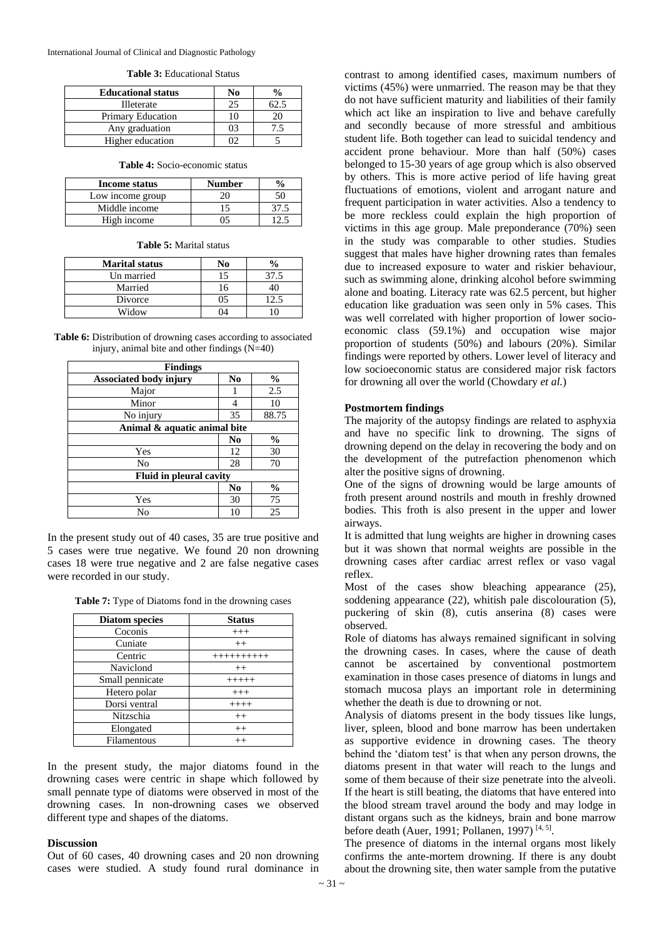International Journal of Clinical and Diagnostic Pathology

| <b>Educational status</b> | No |  |
|---------------------------|----|--|
| <b>Illeterate</b>         |    |  |
| <b>Primary Education</b>  |    |  |
| Any graduation            |    |  |
| Higher education          |    |  |

#### **Table 3:** Educational Status

#### **Table 4:** Socio-economic status

| Income status    | <b>Number</b> |  |
|------------------|---------------|--|
| Low income group |               |  |
| Middle income    |               |  |
| High income      |               |  |

**Table 5:** Marital status

| <b>Marital status</b> | No | $\frac{1}{2}$ |
|-----------------------|----|---------------|
| Un married            | 15 | 37.5          |
| Married               | 16 |               |
| Divorce               | 05 | 12.5          |
| Widow                 |    |               |

| <b>Table 6:</b> Distribution of drowning cases according to associated |
|------------------------------------------------------------------------|
| injury, animal bite and other findings $(N=40)$                        |

| <b>Findings</b>                |                        |               |  |
|--------------------------------|------------------------|---------------|--|
| <b>Associated body injury</b>  | N <sub>0</sub>         | $\frac{6}{9}$ |  |
| Major                          |                        | 2.5           |  |
| Minor                          | 4                      | 10            |  |
| No injury                      | 35                     | 88.75         |  |
| Animal & aquatic animal bite   |                        |               |  |
|                                | $\mathbf{N}\mathbf{0}$ | $\frac{6}{6}$ |  |
| Yes                            | 12                     | 30            |  |
| No                             | 28                     | 70            |  |
| <b>Fluid in pleural cavity</b> |                        |               |  |
|                                | N <sub>0</sub>         | $\frac{0}{0}$ |  |
| Yes                            | 30                     | 75            |  |
| No                             | 10                     | 25            |  |

In the present study out of 40 cases, 35 are true positive and 5 cases were true negative. We found 20 non drowning cases 18 were true negative and 2 are false negative cases were recorded in our study.

| Table 7: Type of Diatoms fond in the drowning cases |
|-----------------------------------------------------|
|-----------------------------------------------------|

| <b>Diatom</b> species | <b>Status</b> |
|-----------------------|---------------|
| Coconis               | $+++$         |
| Cuniate               | $^{++}$       |
| Centric               | ++++++++++    |
| Naviclond             | $^{++}$       |
| Small pennicate       | $+++++$       |
| Hetero polar          | $+++$         |
| Dorsi ventral         | $++++$        |
| Nitzschia             | $++$          |
| Elongated             | $^{++}$       |
| Filamentous           | $^{++}$       |

In the present study, the major diatoms found in the drowning cases were centric in shape which followed by small pennate type of diatoms were observed in most of the drowning cases. In non-drowning cases we observed different type and shapes of the diatoms.

#### **Discussion**

Out of 60 cases, 40 drowning cases and 20 non drowning cases were studied. A study found rural dominance in

contrast to among identified cases, maximum numbers of victims (45%) were unmarried. The reason may be that they do not have sufficient maturity and liabilities of their family which act like an inspiration to live and behave carefully and secondly because of more stressful and ambitious student life. Both together can lead to suicidal tendency and accident prone behaviour. More than half (50%) cases belonged to 15-30 years of age group which is also observed by others. This is more active period of life having great fluctuations of emotions, violent and arrogant nature and frequent participation in water activities. Also a tendency to be more reckless could explain the high proportion of victims in this age group. Male preponderance (70%) seen in the study was comparable to other studies. Studies suggest that males have higher drowning rates than females due to increased exposure to water and riskier behaviour, such as swimming alone, drinking alcohol before swimming alone and boating. Literacy rate was 62.5 percent, but higher education like graduation was seen only in 5% cases. This was well correlated with higher proportion of lower socioeconomic class (59.1%) and occupation wise major proportion of students (50%) and labours (20%). Similar findings were reported by others. Lower level of literacy and low socioeconomic status are considered major risk factors for drowning all over the world (Chowdary *et al.*)

#### **Postmortem findings**

The majority of the autopsy findings are related to asphyxia and have no specific link to drowning. The signs of drowning depend on the delay in recovering the body and on the development of the putrefaction phenomenon which alter the positive signs of drowning.

One of the signs of drowning would be large amounts of froth present around nostrils and mouth in freshly drowned bodies. This froth is also present in the upper and lower airways.

It is admitted that lung weights are higher in drowning cases but it was shown that normal weights are possible in the drowning cases after cardiac arrest reflex or vaso vagal reflex.

Most of the cases show bleaching appearance (25), soddening appearance (22), whitish pale discolouration (5), puckering of skin (8), cutis anserina (8) cases were observed.

Role of diatoms has always remained significant in solving the drowning cases. In cases, where the cause of death cannot be ascertained by conventional postmortem examination in those cases presence of diatoms in lungs and stomach mucosa plays an important role in determining whether the death is due to drowning or not.

Analysis of diatoms present in the body tissues like lungs, liver, spleen, blood and bone marrow has been undertaken as supportive evidence in drowning cases. The theory behind the 'diatom test' is that when any person drowns, the diatoms present in that water will reach to the lungs and some of them because of their size penetrate into the alveoli. If the heart is still beating, the diatoms that have entered into the blood stream travel around the body and may lodge in distant organs such as the kidneys, brain and bone marrow before death (Auer, 1991; Pollanen, 1997)<sup>[4, 5]</sup>.

The presence of diatoms in the internal organs most likely confirms the ante-mortem drowning. If there is any doubt about the drowning site, then water sample from the putative